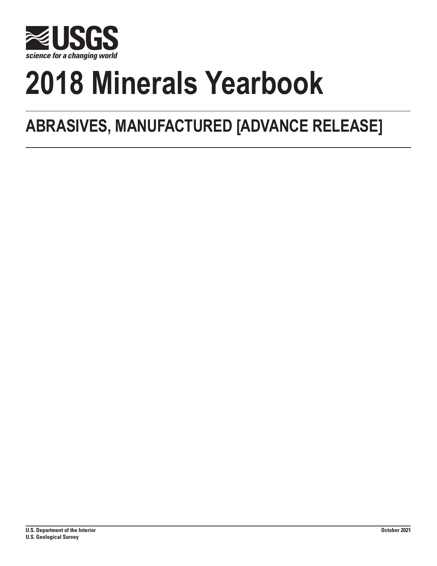

# **2018 Minerals Yearbook**

## **ABRASIVES, MANUFACTURED [ADVANCE RELEASE]**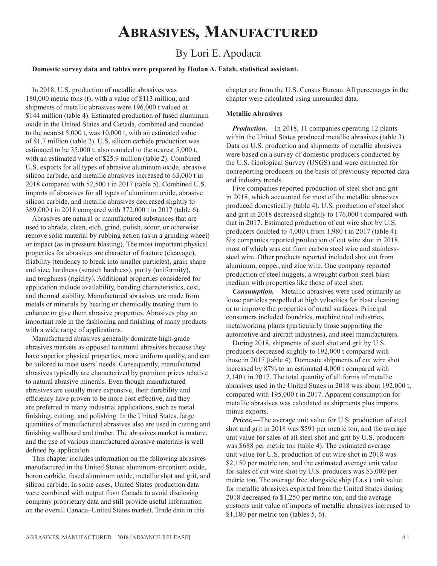## **Abrasives, Manufactured**

### By Lori E. Apodaca

#### **Domestic survey data and tables were prepared by Hodan A. Fatah, statistical assistant.**

In 2018, U.S. production of metallic abrasives was 180,000 metric tons (t), with a value of \$113 million, and shipments of metallic abrasives were 196,000 t valued at \$144 million (table 4). Estimated production of fused aluminum oxide in the United States and Canada, combined and rounded to the nearest 5,000 t, was 10,000 t, with an estimated value of \$1.7 million (table 2). U.S. silicon carbide production was estimated to be 35,000 t, also rounded to the nearest 5,000 t, with an estimated value of \$25.9 million (table 2). Combined U.S. exports for all types of abrasive aluminum oxide, abrasive silicon carbide, and metallic abrasives increased to 63,000 t in 2018 compared with 52,500 t in 2017 (table 5). Combined U.S. imports of abrasives for all types of aluminum oxide, abrasive silicon carbide, and metallic abrasives decreased slightly to 369,000 t in 2018 compared with 372,000 t in 2017 (table 6).

Abrasives are natural or manufactured substances that are used to abrade, clean, etch, grind, polish, scour, or otherwise remove solid material by rubbing action (as in a grinding wheel) or impact (as in pressure blasting). The most important physical properties for abrasives are character of fracture (cleavage), friability (tendency to break into smaller particles), grain shape and size, hardness (scratch hardness), purity (uniformity), and toughness (rigidity). Additional properties considered for application include availability, bonding characteristics, cost, and thermal stability. Manufactured abrasives are made from metals or minerals by heating or chemically treating them to enhance or give them abrasive properties. Abrasives play an important role in the fashioning and finishing of many products with a wide range of applications.

Manufactured abrasives generally dominate high-grade abrasives markets as opposed to natural abrasives because they have superior physical properties, more uniform quality, and can be tailored to meet users' needs. Consequently, manufactured abrasives typically are characterized by premium prices relative to natural abrasive minerals. Even though manufactured abrasives are usually more expensive, their durability and efficiency have proven to be more cost effective, and they are preferred in many industrial applications, such as metal finishing, cutting, and polishing. In the United States, large quantities of manufactured abrasives also are used in cutting and finishing wallboard and timber. The abrasives market is mature, and the use of various manufactured abrasive materials is well defined by application.

This chapter includes information on the following abrasives manufactured in the United States: aluminum-zirconium oxide, boron carbide, fused aluminum oxide, metallic shot and grit, and silicon carbide. In some cases, United States production data were combined with output from Canada to avoid disclosing company proprietary data and still provide useful information on the overall Canada–United States market. Trade data in this

chapter are from the U.S. Census Bureau. All percentages in the chapter were calculated using unrounded data.

#### **Metallic Abrasives**

*Production.*—In 2018, 11 companies operating 12 plants within the United States produced metallic abrasives (table 3). Data on U.S. production and shipments of metallic abrasives were based on a survey of domestic producers conducted by the U.S. Geological Survey (USGS) and were estimated for nonreporting producers on the basis of previously reported data and industry trends.

Five companies reported production of steel shot and grit in 2018, which accounted for most of the metallic abrasives produced domestically (table 4). U.S. production of steel shot and grit in 2018 decreased slightly to 176,000 t compared with that in 2017. Estimated production of cut wire shot by U.S. producers doubled to 4,000 t from 1,980 t in 2017 (table 4). Six companies reported production of cut wire shot in 2018, most of which was cut from carbon steel wire and stainlesssteel wire. Other products reported included shot cut from aluminum, copper, and zinc wire. One company reported production of steel nuggets, a wrought carbon steel blast medium with properties like those of steel shot.

*Consumption.*—Metallic abrasives were used primarily as loose particles propelled at high velocities for blast cleaning or to improve the properties of metal surfaces. Principal consumers included foundries, machine tool industries, metalworking plants (particularly those supporting the automotive and aircraft industries), and steel manufacturers.

During 2018, shipments of steel shot and grit by U.S. producers decreased slightly to 192,000 t compared with those in 2017 (table 4). Domestic shipments of cut wire shot increased by 87% to an estimated 4,000 t compared with 2,140 t in 2017. The total quantity of all forms of metallic abrasives used in the United States in 2018 was about 192,000 t, compared with 195,000 t in 2017. Apparent consumption for metallic abrasives was calculated as shipments plus imports minus exports.

*Prices.*—The average unit value for U.S. production of steel shot and grit in 2018 was \$591 per metric ton, and the average unit value for sales of all steel shot and grit by U.S. producers was \$688 per metric ton (table 4). The estimated average unit value for U.S. production of cut wire shot in 2018 was \$2,150 per metric ton, and the estimated average unit value for sales of cut wire shot by U.S. producers was \$3,000 per metric ton. The average free alongside ship (f.a.s.) unit value for metallic abrasives exported from the United States during 2018 decreased to \$1,250 per metric ton, and the average customs unit value of imports of metallic abrasives increased to \$1,180 per metric ton (tables 5, 6).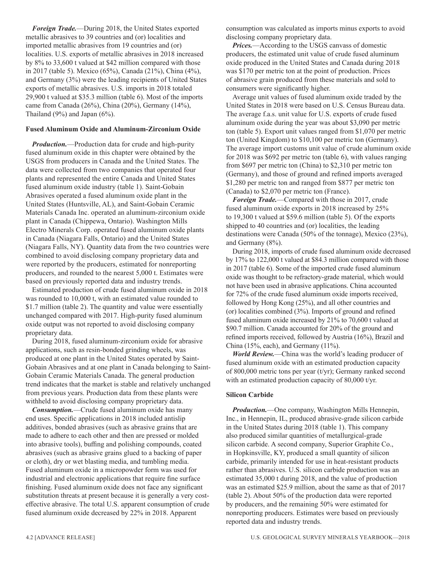*Foreign Trade.*—During 2018, the United States exported metallic abrasives to 39 countries and (or) localities and imported metallic abrasives from 19 countries and (or) localities. U.S. exports of metallic abrasives in 2018 increased by 8% to 33,600 t valued at \$42 million compared with those in 2017 (table 5). Mexico (65%), Canada (21%), China (4%), and Germany (3%) were the leading recipients of United States exports of metallic abrasives. U.S. imports in 2018 totaled 29,900 t valued at \$35.3 million (table 6). Most of the imports came from Canada (26%), China (20%), Germany (14%), Thailand (9%) and Japan (6%).

#### **Fused Aluminum Oxide and Aluminum-Zirconium Oxide**

*Production.*—Production data for crude and high-purity fused aluminum oxide in this chapter were obtained by the USGS from producers in Canada and the United States. The data were collected from two companies that operated four plants and represented the entire Canada and United States fused aluminum oxide industry (table 1). Saint-Gobain Abrasives operated a fused aluminum oxide plant in the United States (Huntsville, AL), and Saint-Gobain Ceramic Materials Canada Inc. operated an aluminum-zirconium oxide plant in Canada (Chippewa, Ontario). Washington Mills Electro Minerals Corp. operated fused aluminum oxide plants in Canada (Niagara Falls, Ontario) and the United States (Niagara Falls, NY). Quantity data from the two countries were combined to avoid disclosing company proprietary data and were reported by the producers, estimated for nonreporting producers, and rounded to the nearest 5,000 t. Estimates were based on previously reported data and industry trends.

Estimated production of crude fused aluminum oxide in 2018 was rounded to 10,000 t, with an estimated value rounded to \$1.7 million (table 2). The quantity and value were essentially unchanged compared with 2017. High-purity fused aluminum oxide output was not reported to avoid disclosing company proprietary data.

During 2018, fused aluminum-zirconium oxide for abrasive applications, such as resin-bonded grinding wheels, was produced at one plant in the United States operated by Saint-Gobain Abrasives and at one plant in Canada belonging to Saint-Gobain Ceramic Materials Canada. The general production trend indicates that the market is stable and relatively unchanged from previous years. Production data from these plants were withheld to avoid disclosing company proprietary data.

*Consumption.*—Crude fused aluminum oxide has many end uses. Specific applications in 2018 included antislip additives, bonded abrasives (such as abrasive grains that are made to adhere to each other and then are pressed or molded into abrasive tools), buffing and polishing compounds, coated abrasives (such as abrasive grains glued to a backing of paper or cloth), dry or wet blasting media, and tumbling media. Fused aluminum oxide in a micropowder form was used for industrial and electronic applications that require fine surface finishing. Fused aluminum oxide does not face any significant substitution threats at present because it is generally a very costeffective abrasive. The total U.S. apparent consumption of crude fused aluminum oxide decreased by 22% in 2018. Apparent

consumption was calculated as imports minus exports to avoid disclosing company proprietary data.

*Prices.*—According to the USGS canvass of domestic producers, the estimated unit value of crude fused aluminum oxide produced in the United States and Canada during 2018 was \$170 per metric ton at the point of production. Prices of abrasive grain produced from these materials and sold to consumers were significantly higher.

Average unit values of fused aluminum oxide traded by the United States in 2018 were based on U.S. Census Bureau data. The average f.a.s. unit value for U.S. exports of crude fused aluminum oxide during the year was about \$3,090 per metric ton (table 5). Export unit values ranged from \$1,070 per metric ton (United Kingdom) to \$10,100 per metric ton (Germany). The average import customs unit value of crude aluminum oxide for 2018 was \$692 per metric ton (table 6), with values ranging from \$697 per metric ton (China) to \$2,310 per metric ton (Germany), and those of ground and refined imports averaged \$1,280 per metric ton and ranged from \$877 per metric ton (Canada) to \$2,070 per metric ton (France).

*Foreign Trade.*—Compared with those in 2017, crude fused aluminum oxide exports in 2018 increased by 25% to 19,300 t valued at \$59.6 million (table 5). Of the exports shipped to 40 countries and (or) localities, the leading destinations were Canada (50% of the tonnage), Mexico (23%), and Germany (8%).

During 2018, imports of crude fused aluminum oxide decreased by 17% to 122,000 t valued at \$84.3 million compared with those in 2017 (table 6). Some of the imported crude fused aluminum oxide was thought to be refractory-grade material, which would not have been used in abrasive applications. China accounted for 72% of the crude fused aluminum oxide imports received, followed by Hong Kong (25%), and all other countries and (or) localities combined (3%). Imports of ground and refined fused aluminum oxide increased by 21% to 70,600 t valued at \$90.7 million. Canada accounted for 20% of the ground and refined imports received, followed by Austria (16%), Brazil and China (15%, each), and Germany (11%).

*World Review.*—China was the world's leading producer of fused aluminum oxide with an estimated production capacity of 800,000 metric tons per year (t/yr); Germany ranked second with an estimated production capacity of 80,000 t/yr.

#### **Silicon Carbide**

*Production.*—One company, Washington Mills Hennepin, Inc., in Hennepin, IL, produced abrasive-grade silicon carbide in the United States during 2018 (table 1). This company also produced similar quantities of metallurgical-grade silicon carbide. A second company, Superior Graphite Co., in Hopkinsville, KY, produced a small quantity of silicon carbide, primarily intended for use in heat-resistant products rather than abrasives. U.S. silicon carbide production was an estimated 35,000 t during 2018, and the value of production was an estimated \$25.9 million, about the same as that of 2017 (table 2). About 50% of the production data were reported by producers, and the remaining 50% were estimated for nonreporting producers. Estimates were based on previously reported data and industry trends.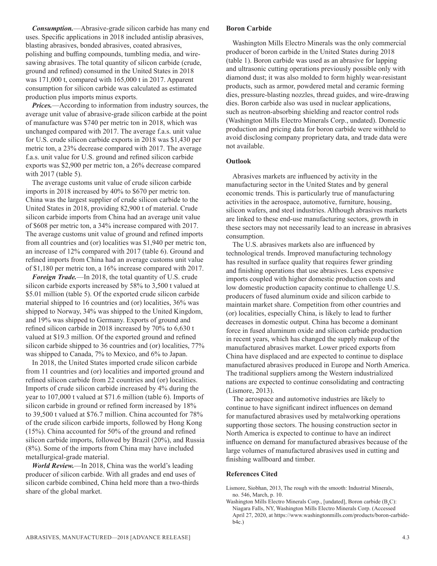*Consumption.*—Abrasive-grade silicon carbide has many end uses. Specific applications in 2018 included antislip abrasives, blasting abrasives, bonded abrasives, coated abrasives, polishing and buffing compounds, tumbling media, and wiresawing abrasives. The total quantity of silicon carbide (crude, ground and refined) consumed in the United States in 2018 was 171,000 t, compared with 165,000 t in 2017. Apparent consumption for silicon carbide was calculated as estimated production plus imports minus exports.

*Prices.*—According to information from industry sources, the average unit value of abrasive-grade silicon carbide at the point of manufacture was \$740 per metric ton in 2018, which was unchanged compared with 2017. The average f.a.s. unit value for U.S. crude silicon carbide exports in 2018 was \$1,430 per metric ton, a 23% decrease compared with 2017. The average f.a.s. unit value for U.S. ground and refined silicon carbide exports was \$2,900 per metric ton, a 26% decrease compared with 2017 (table 5).

The average customs unit value of crude silicon carbide imports in 2018 increased by 40% to \$670 per metric ton. China was the largest supplier of crude silicon carbide to the United States in 2018, providing 82,900 t of material. Crude silicon carbide imports from China had an average unit value of \$608 per metric ton, a 34% increase compared with 2017. The average customs unit value of ground and refined imports from all countries and (or) localities was \$1,940 per metric ton, an increase of 12% compared with 2017 (table 6). Ground and refined imports from China had an average customs unit value of \$1,180 per metric ton, a 16% increase compared with 2017.

*Foreign Trade.*—In 2018, the total quantity of U.S. crude silicon carbide exports increased by 58% to 3,500 t valued at \$5.01 million (table 5). Of the exported crude silicon carbide material shipped to 16 countries and (or) localities, 36% was shipped to Norway, 34% was shipped to the United Kingdom, and 19% was shipped to Germany. Exports of ground and refined silicon carbide in 2018 increased by 70% to 6,630 t valued at \$19.3 million. Of the exported ground and refined silicon carbide shipped to 36 countries and (or) localities, 77% was shipped to Canada, 7% to Mexico, and 6% to Japan.

In 2018, the United States imported crude silicon carbide from 11 countries and (or) localities and imported ground and refined silicon carbide from 22 countries and (or) localities. Imports of crude silicon carbide increased by 4% during the year to 107,000 t valued at \$71.6 million (table 6). Imports of silicon carbide in ground or refined form increased by 18% to 39,500 t valued at \$76.7 million. China accounted for 78% of the crude silicon carbide imports, followed by Hong Kong (15%). China accounted for 50% of the ground and refined silicon carbide imports, followed by Brazil (20%), and Russia (8%). Some of the imports from China may have included metallurgical-grade material.

*World Review.*—In 2018, China was the world's leading producer of silicon carbide. With all grades and end uses of silicon carbide combined, China held more than a two-thirds share of the global market.

#### **Boron Carbide**

Washington Mills Electro Minerals was the only commercial producer of boron carbide in the United States during 2018 (table 1). Boron carbide was used as an abrasive for lapping and ultrasonic cutting operations previously possible only with diamond dust; it was also molded to form highly wear-resistant products, such as armor, powdered metal and ceramic forming dies, pressure-blasting nozzles, thread guides, and wire-drawing dies. Boron carbide also was used in nuclear applications, such as neutron-absorbing shielding and reactor control rods (Washington Mills Electro Minerals Corp., undated). Domestic production and pricing data for boron carbide were withheld to avoid disclosing company proprietary data, and trade data were not available.

#### **Outlook**

Abrasives markets are influenced by activity in the manufacturing sector in the United States and by general economic trends. This is particularly true of manufacturing activities in the aerospace, automotive, furniture, housing, silicon wafers, and steel industries. Although abrasives markets are linked to these end-use manufacturing sectors, growth in these sectors may not necessarily lead to an increase in abrasives consumption.

The U.S. abrasives markets also are influenced by technological trends. Improved manufacturing technology has resulted in surface quality that requires fewer grinding and finishing operations that use abrasives. Less expensive imports coupled with higher domestic production costs and low domestic production capacity continue to challenge U.S. producers of fused aluminum oxide and silicon carbide to maintain market share. Competition from other countries and (or) localities, especially China, is likely to lead to further decreases in domestic output. China has become a dominant force in fused aluminum oxide and silicon carbide production in recent years, which has changed the supply makeup of the manufactured abrasives market. Lower priced exports from China have displaced and are expected to continue to displace manufactured abrasives produced in Europe and North America. The traditional suppliers among the Western industrialized nations are expected to continue consolidating and contracting (Lismore, 2013).

The aerospace and automotive industries are likely to continue to have significant indirect influences on demand for manufactured abrasives used by metalworking operations supporting those sectors. The housing construction sector in North America is expected to continue to have an indirect influence on demand for manufactured abrasives because of the large volumes of manufactured abrasives used in cutting and finishing wallboard and timber.

#### **References Cited**

- Lismore, Siobhan, 2013, The rough with the smooth: Industrial Minerals, no. 546, March, p. 10.
- Washington Mills Electro Minerals Corp., [undated], Boron carbide  $(B_4C)$ : Niagara Falls, NY, Washington Mills Electro Minerals Corp. (Accessed April 27, 2020, at https://www.washingtonmills.com/products/boron-carbideb4c.)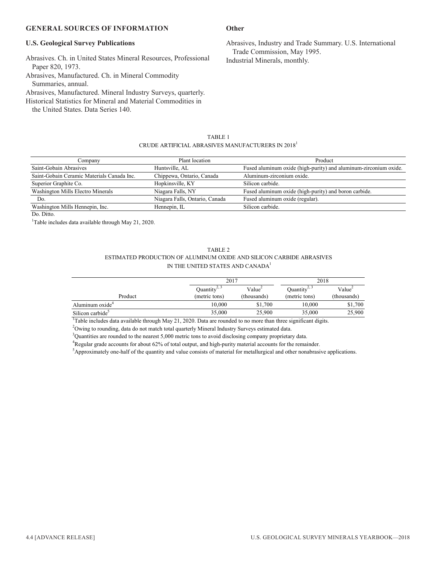#### **GENERAL SOURCES OF INFORMATION**

#### **U.S. Geological Survey Publications**

Abrasives. Ch. in United States Mineral Resources, Professional Paper 820, 1973.

Abrasives, Manufactured. Ch. in Mineral Commodity Summaries, annual.

Abrasives, Manufactured. Mineral Industry Surveys, quarterly.

Historical Statistics for Mineral and Material Commodities in

the United States. Data Series 140.

#### **Other**

Abrasives, Industry and Trade Summary. U.S. International Trade Commission, May 1995. Industrial Minerals, monthly.

| TABLE 1                                                       |  |
|---------------------------------------------------------------|--|
| CRUDE ARTIFICIAL ABRASIVES MANUFACTURERS IN 2018 <sup>1</sup> |  |

| Company                                    | Plant location                 | Product                                                          |
|--------------------------------------------|--------------------------------|------------------------------------------------------------------|
|                                            |                                |                                                                  |
| Saint-Gobain Abrasives                     | Huntsville, AL                 | Fused aluminum oxide (high-purity) and aluminum-zirconium oxide. |
| Saint-Gobain Ceramic Materials Canada Inc. | Chippewa, Ontario, Canada      | Aluminum-zirconium oxide.                                        |
| Superior Graphite Co.                      | Hopkinsville, KY               | Silicon carbide.                                                 |
| Washington Mills Electro Minerals          | Niagara Falls, NY              | Fused aluminum oxide (high-purity) and boron carbide.            |
| Do.                                        | Niagara Falls, Ontario, Canada | Fused aluminum oxide (regular).                                  |
| Washington Mills Hennepin, Inc.            | Hennepin, IL                   | Silicon carbide.                                                 |

Do. Ditto.

<sup>1</sup>Table includes data available through May 21, 2020.

| TABLE 2                                                               |
|-----------------------------------------------------------------------|
| ESTIMATED PRODUCTION OF ALUMINUM OXIDE AND SILICON CARBIDE ABRASIVES. |
| IN THE UNITED STATES AND CANADA <sup>1</sup>                          |

|                              |                          | 2017               |                                               | 2018               |  |
|------------------------------|--------------------------|--------------------|-----------------------------------------------|--------------------|--|
|                              | Quantity <sup>2, 3</sup> | Value <sup>2</sup> | Quantity <sup><math>\frac{3}{2}</math>,</sup> | Value <sup>2</sup> |  |
| Product                      | (metric tons)            | (thousands)        | (metric tons)                                 | (thousands)        |  |
| Aluminum oxide <sup>4</sup>  | 10.000                   | \$1,700            | 10.000                                        | \$1,700            |  |
| Silicon carbide <sup>3</sup> | 35,000                   | 25,900             | 35,000                                        | 25,900             |  |

<sup>1</sup>Table includes data available through May 21, 2020. Data are rounded to no more than three significant digits.

 $2$ Owing to rounding, data do not match total quarterly Mineral Industry Surveys estimated data.

 $3$ Quantities are rounded to the nearest 5,000 metric tons to avoid disclosing company proprietary data.

<sup>4</sup>Regular grade accounts for about 62% of total output, and high-purity material accounts for the remainder.

5 Approximately one-half of the quantity and value consists of material for metallurgical and other nonabrasive applications.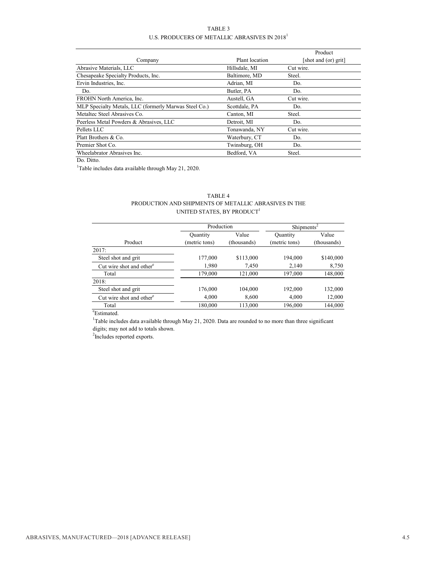#### TABLE 3 U.S. PRODUCERS OF METALLIC ABRASIVES IN 2018<sup>1</sup>

|                                                       |                | Product              |
|-------------------------------------------------------|----------------|----------------------|
| Company                                               | Plant location | [shot and (or) grit] |
| Abrasive Materials, LLC                               | Hillsdale, MI  | Cut wire.            |
| Chesapeake Specialty Products, Inc.                   | Baltimore, MD  | Steel.               |
| Ervin Industries, Inc.                                | Adrian, MI     | Do.                  |
| Do.                                                   | Butler, PA     | Do.                  |
| FROHN North America, Inc.                             | Austell, GA    | Cut wire.            |
| MLP Specialty Metals, LLC (formerly Marwas Steel Co.) | Scottdale, PA  | Do.                  |
| Metaltec Steel Abrasives Co.                          | Canton, MI     | Steel.               |
| Peerless Metal Powders & Abrasives, LLC               | Detroit, MI    | Do.                  |
| Pellets LLC                                           | Tonawanda, NY  | Cut wire.            |
| Platt Brothers & Co.                                  | Waterbury, CT  | Do.                  |
| Premier Shot Co.                                      | Twinsburg, OH  | Do.                  |
| Wheelabrator Abrasives Inc.                           | Bedford, VA    | Steel.               |

Do. Ditto.

<sup>1</sup>Table includes data available through May 21, 2020.

| TABLE 4                                               |
|-------------------------------------------------------|
| PRODUCTION AND SHIPMENTS OF METALLIC ABRASIVES IN THE |
| UNITED STATES, BY PRODUCT <sup>1</sup>                |

|                                      | Production    |             | Shipments <sup>2</sup> |             |
|--------------------------------------|---------------|-------------|------------------------|-------------|
|                                      | Quantity      | Value       | Quantity               | Value       |
| Product                              | (metric tons) | (thousands) | (metric tons)          | (thousands) |
| 2017:                                |               |             |                        |             |
| Steel shot and grit                  | 177,000       | \$113,000   | 194,000                | \$140,000   |
| Cut wire shot and other <sup>e</sup> | 1,980         | 7,450       | 2,140                  | 8,750       |
| Total                                | 179,000       | 121,000     | 197,000                | 148,000     |
| 2018:                                |               |             |                        |             |
| Steel shot and grit                  | 176,000       | 104,000     | 192,000                | 132,000     |
| Cut wire shot and other <sup>e</sup> | 4,000         | 8,600       | 4,000                  | 12,000      |
| Total                                | 180,000       | 113,000     | 196,000                | 144,000     |

e Estimated.

<sup>1</sup>Table includes data available through May 21, 2020. Data are rounded to no more than three significant digits; may not add to totals shown.

<sup>2</sup>Includes reported exports.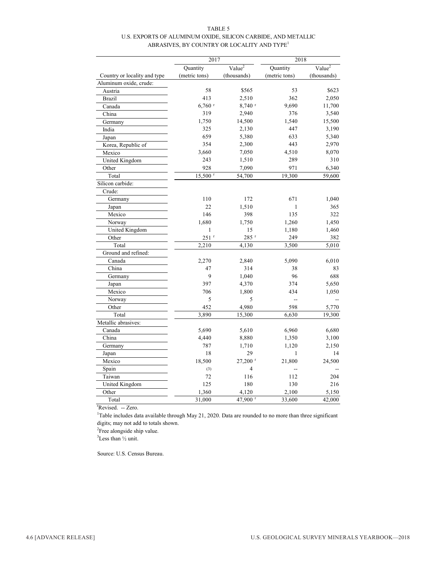| TABLE 5                                                       |
|---------------------------------------------------------------|
| U.S. EXPORTS OF ALUMINUM OXIDE, SILICON CARBIDE, AND METALLIC |
| ABRASIVES, BY COUNTRY OR LOCALITY AND TYPE <sup>1</sup>       |

|                              | 2017                  |                       | 2018          |                    |
|------------------------------|-----------------------|-----------------------|---------------|--------------------|
|                              | Quantity              | Value <sup>2</sup>    | Quantity      | Value <sup>2</sup> |
| Country or locality and type | (metric tons)         | (thousands)           | (metric tons) | (thousands)        |
| Aluminum oxide, crude:       |                       |                       |               |                    |
| Austria                      | 58                    | \$565                 | 53            | \$623              |
| <b>Brazil</b>                | 413                   | 2,510                 | 362           | 2,050              |
| Canada                       | $6,760$ <sup>r</sup>  | 8,740 r               | 9,690         | 11,700             |
| China                        | 319                   | 2,940                 | 376           | 3,540              |
| Germany                      | 1,750                 | 14,500                | 1,540         | 15,500             |
| India                        | 325                   | 2,130                 | 447           | 3,190              |
| Japan                        | 659                   | 5,380                 | 633           | 5,340              |
| Korea, Republic of           | 354                   | 2,300                 | 443           | 2,970              |
| Mexico                       | 3,660                 | 7,050                 | 4,510         | 8,070              |
| United Kingdom               | 243                   | 1,510                 | 289           | 310                |
| Other                        | 928                   | 7,090                 | 971           | 6,340              |
| Total                        | $15,500$ <sup>r</sup> | 54,700                | 19,300        | 59,600             |
| Silicon carbide:             |                       |                       |               |                    |
| Crude:                       |                       |                       |               |                    |
| Germany                      | 110                   | 172                   | 671           | 1,040              |
| Japan                        | 22                    | 1,510                 | 1             | 365                |
| Mexico                       | 146                   | 398                   | 135           | 322                |
| Norway                       | 1,680                 | 1,750                 | 1,260         | 1,450              |
| United Kingdom               | 1                     | 15                    | 1,180         | 1,460              |
| Other                        | $251$ <sup>r</sup>    | 285 <sup>r</sup>      | 249           | 382                |
| Total                        | 2,210                 | 4,130                 | 3,500         | 5,010              |
| Ground and refined:          |                       |                       |               |                    |
| Canada                       | 2,270                 | 2,840                 | 5,090         | 6,010              |
| China                        | 47                    | 314                   | 38            | 83                 |
| Germany                      | 9                     | 1,040                 | 96            | 688                |
| Japan                        | 397                   | 4,370                 | 374           | 5,650              |
| Mexico                       | 706                   | 1,800                 | 434           | 1,050              |
| Norway                       | 5                     | 5                     | Ξ.            |                    |
| Other                        | 452                   | 4,980                 | 598           | 5,770              |
| Total                        | 3,890                 | 15,300                | 6,630         | 19,300             |
| Metallic abrasives:          |                       |                       |               |                    |
| Canada                       | 5,690                 | 5,610                 | 6,960         | 6,680              |
| China                        | 4,440                 | 8,880                 | 1,350         | 3,100              |
| Germany                      | 787                   | 1,710                 | 1,120         | 2,150              |
| Japan                        | 18                    | 29                    | $\mathbf{1}$  | 14                 |
| Mexico                       | 18,500                | $27,200$ <sup>r</sup> | 21,800        | 24,500             |
| Spain                        | (3)                   | 4                     | --            |                    |
| Taiwan                       | 72                    | 116                   | 112           | 204                |
| United Kingdom               | 125                   | 180                   | 130           | 216                |
| Other                        | 1,360                 | 4,120                 | 2,100         | 5,150              |
| Total                        | 31,000                | 47,900 r              | 33,600        | 42,000             |

<sup>r</sup>Revised. -- Zero.

<sup>1</sup>Table includes data available through May 21, 2020. Data are rounded to no more than three significant digits; may not add to totals shown.

<sup>2</sup>Free alongside ship value.

 ${}^{3}$ Less than  $\frac{1}{2}$  unit.

Source: U.S. Census Bureau.